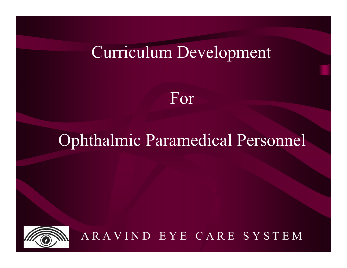#### Curriculum Development

For

#### Ophthalmic Paramedical Personnel

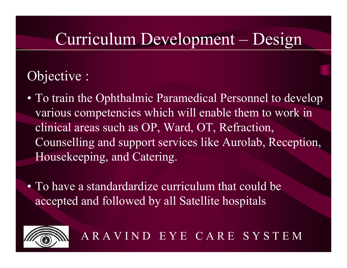#### Objective :

- To train the Ophthalmic Paramedical Personnel to develop various competencies which will enable them to work in clinical areas such as OP, Ward, OT, Refraction, Counselling and support services like Aurolab, Reception, Housekeeping, and Catering.
- To have a standardardize curriculum that could be accepted and followed by all Satellite hospitals

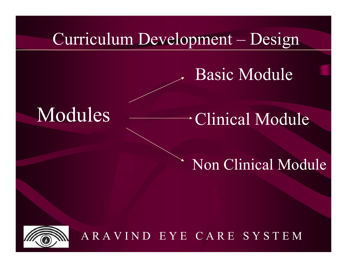#### Basic Module

# Modules Clinical Module

#### Non Clinical Module

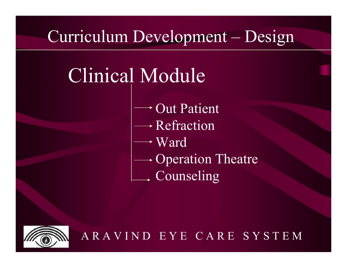# Clinical Module

- Out Patient
	- Refraction
- Ward
- $\rightarrow$  Operation Theatre
	- Counseling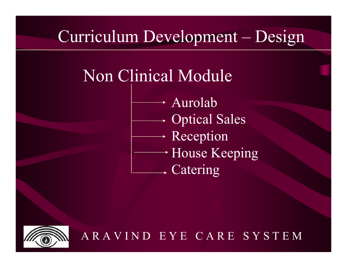### Non Clinical Module

Aurolab Optical Sales Reception House Keeping → Catering

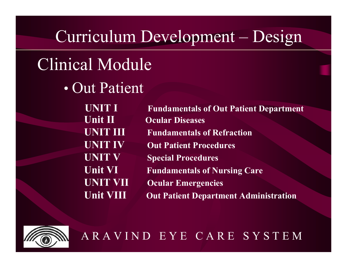# Clinical Module

• Out Patient

**UNIT IUnit IIUNIT IIIUNIT IVUNIT VUnit VIUNIT VIIUnit VIII**

 **Fundamentals of Out Patient Department Ocular Diseases Fundamentals of Refraction Out Patient Procedures Special Procedures Fundamentals of Nursing Care Ocu lar Emergencies Out Patient Department Administration**

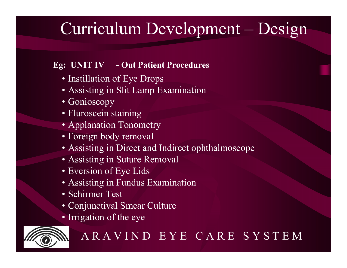#### **Eg: UNIT IV - Out Patient Procedures**

- Instillation of Eye Drops
- Assisting in Slit Lamp Examination
- Gonioscopy
- Fluroscein staining
- Applanation Tonometry
- Foreign body removal
- Assisting in Direct and Indirect ophthalmoscope
- Assisting in Suture Removal
- Eversion of Eye Lids
- Assisting in Fundus Examination
- Schirmer Test
- Conjunctival Smear Culture
- Irrigation of the eye

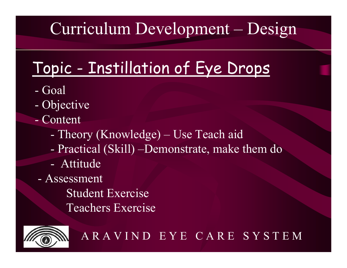# Topic - Instillation of Eye Drops

- G o a l
- Objective
- Cont ent
	- Theory (Knowledge) Use Teach aid
	- Practical (Skill) –Demonstrate, make them do
	- Attitude
	- Assessment

Student Exercise Teachers Exercise

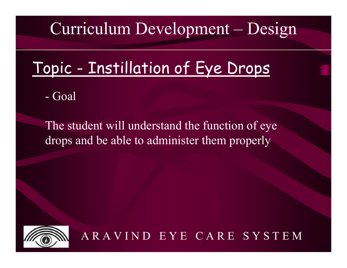### Topic - Instillation of Eye Drops

- Go a l

The student will understand the function of eye drops and be able to administer them properly

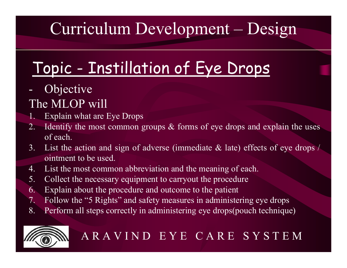# Topic - Instillation of Eye Drops

#### Objective

#### The MLOP will

- 1. Explain what are Eye Drops
- 2. Identify the most common groups  $\&$  forms of eye drops and explain the uses of each.
- 3. List the action and sign of adverse (immediate & late) effects of eye drops / ointment to be used.
- 4. List the most common abbreviation and the meaning of each.
- 5. Collect the necessary equipment to carryout the procedure
- 6. Explain about the procedure and outcome to the patient
- 7. Follow the "5 Rights" and safety measures in administering eye drops
- 8. Perform all steps correctly in administering eye drops(pouch technique)

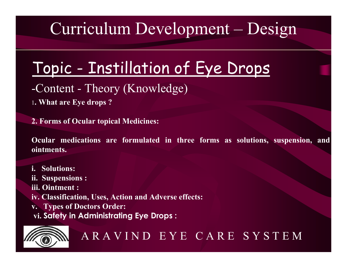## Topic - Instillation of Eye Drops

- -Content Theory (Knowledge)
- <sup>1</sup>**. What are Eye drops ?**

**2. Forms of Ocular topical Medicines:**

**Ocular medications are formulated in three forms as solutions, suspension, and ointments.** 

- **i. Solutions:**
- **ii. Suspensions :**
- **iii. Ointment :**
- **iv. Classification, Uses, Action and Adverse effects:**
- **v. Types of Doctors Order:**
- **vi. Safety in Administrating Eye Drops :**

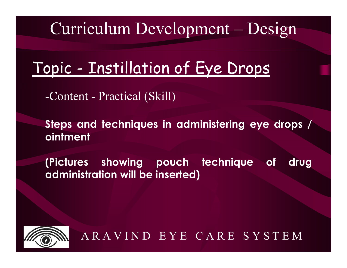### Topic - Instillation of Eye Drops

-Content - Practical (Skill)

**Steps and techniques in administering eye drops / ointment**

**(Pictures showing pouch technique of drug administration will be inserted)**

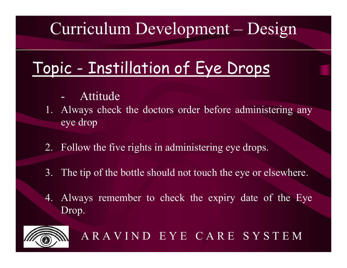# Topic - Instillation of Eye Drops

- Attitude
- 1. Always check the doctors order before administering any eye drop
- 2. Follow the five rights in administering eye drops.
- 3. The tip of the bottle should not touch the eye or elsewhere.
- 4. Always remember to check the expiry date of the Eye Drop.

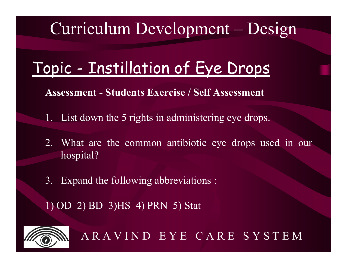## Topic - Instillation of Eye Drops

**Assessment - Students Exercise / Self Assessment** 

- 1. List down the 5 rights in administering eye drops.
- 2. What are the common antibiotic eye drops used in our hospital?
- 3. Expand the following abbreviations :

1) OD 2) BD 3)HS 4) PRN 5) Stat

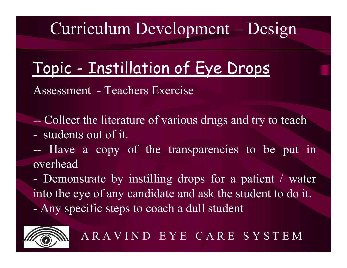## Topic - Instillation of Eye Drops

Assessment - Teachers Exercise

--Collect the literature of various drugs and try to teach

- students out of it.

--- Have a copy of the transparencies to be put in overhead

- Demonstrate by instilling drops for a patient / water into the eye of any candidate and ask the student to do it. - Any specific steps to coach a dull student

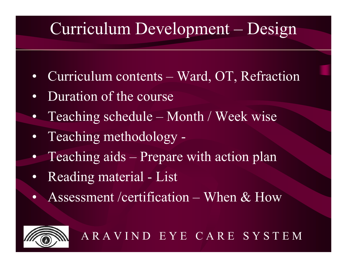- Curriculum contents Ward, OT, Refraction
- •• Duration of the course
- Teaching schedule Month / Week wise
- Teaching methodology -
- Teaching aids Prepare with action plan
- •• Reading material - List
- $\bullet$ • Assessment / certification – When & How